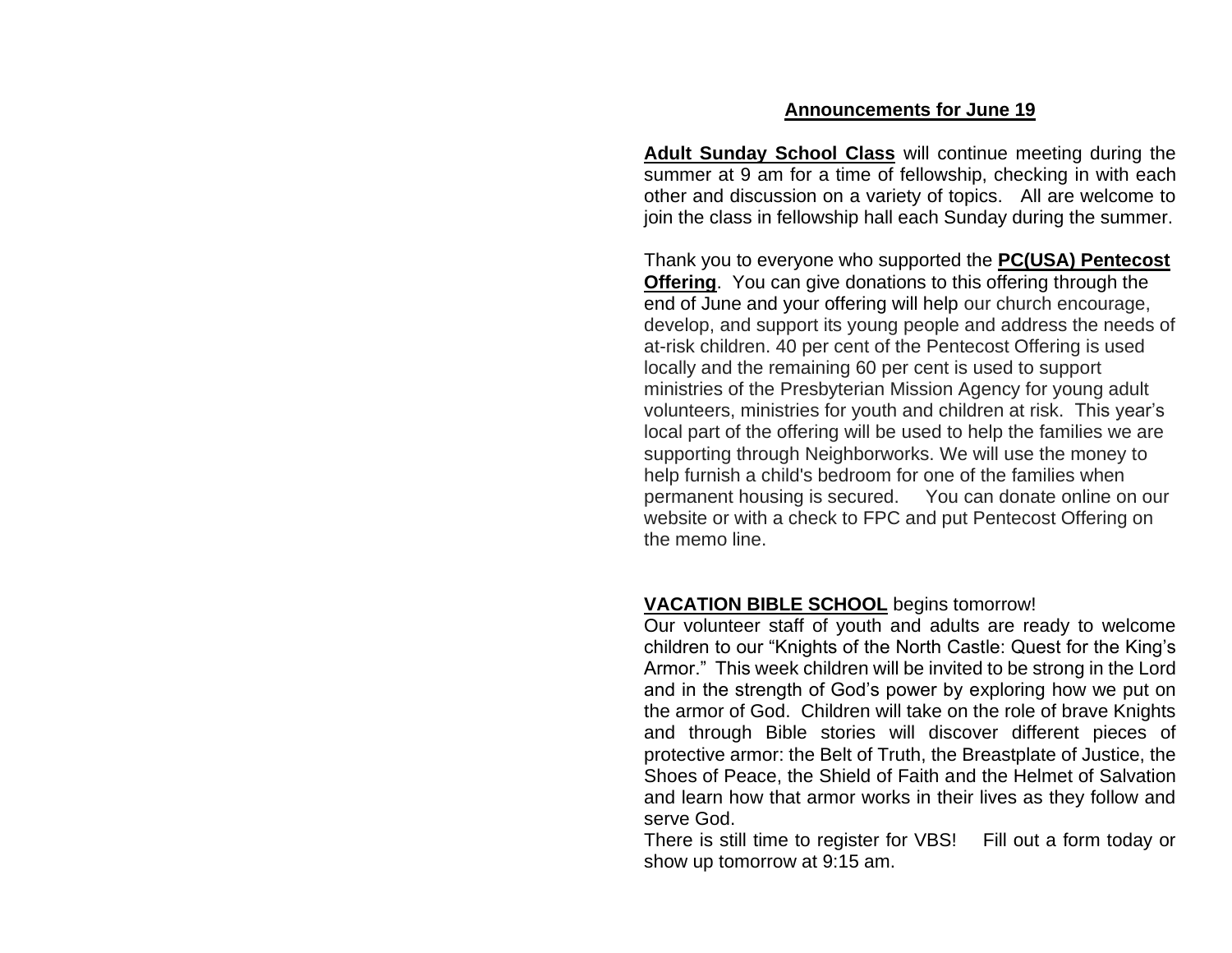#### **Announcements for June 19**

**Adult Sunday School Class** will continue meeting during the summer at 9 am for a time of fellowship, checking in with each other and discussion on a variety of topics. All are welcome to join the class in fellowship hall each Sunday during the summer.

Thank you to everyone who supported the **PC(USA) Pentecost Offering**. You can give donations to this offering through the end of June and your offering will help our church encourage, develop, and support its young people and address the needs of at-risk children. 40 per cent of the Pentecost Offering is used locally and the remaining 60 per cent is used to support ministries of the Presbyterian Mission Agency for young adult volunteers, ministries for youth and children at risk. This year's local part of the offering will be used to help the families we are supporting through Neighborworks. We will use the money to help furnish a child's bedroom for one of the families when permanent housing is secured. You can donate online on our website or with a check to FPC and put Pentecost Offering on the memo line.

#### **VACATION BIBLE SCHOOL** begins tomorrow!

Our volunteer staff of youth and adults are ready to welcome children to our "Knights of the North Castle: Quest for the King's Armor." This week children will be invited to be strong in the Lord and in the strength of God's power by exploring how we put on the armor of God. Children will take on the role of brave Knights and through Bible stories will discover different pieces of protective armor: the Belt of Truth, the Breastplate of Justice, the Shoes of Peace, the Shield of Faith and the Helmet of Salvation and learn how that armor works in their lives as they follow and serve God.

There is still time to register for VBS! Fill out a form today or show up tomorrow at 9:15 am.